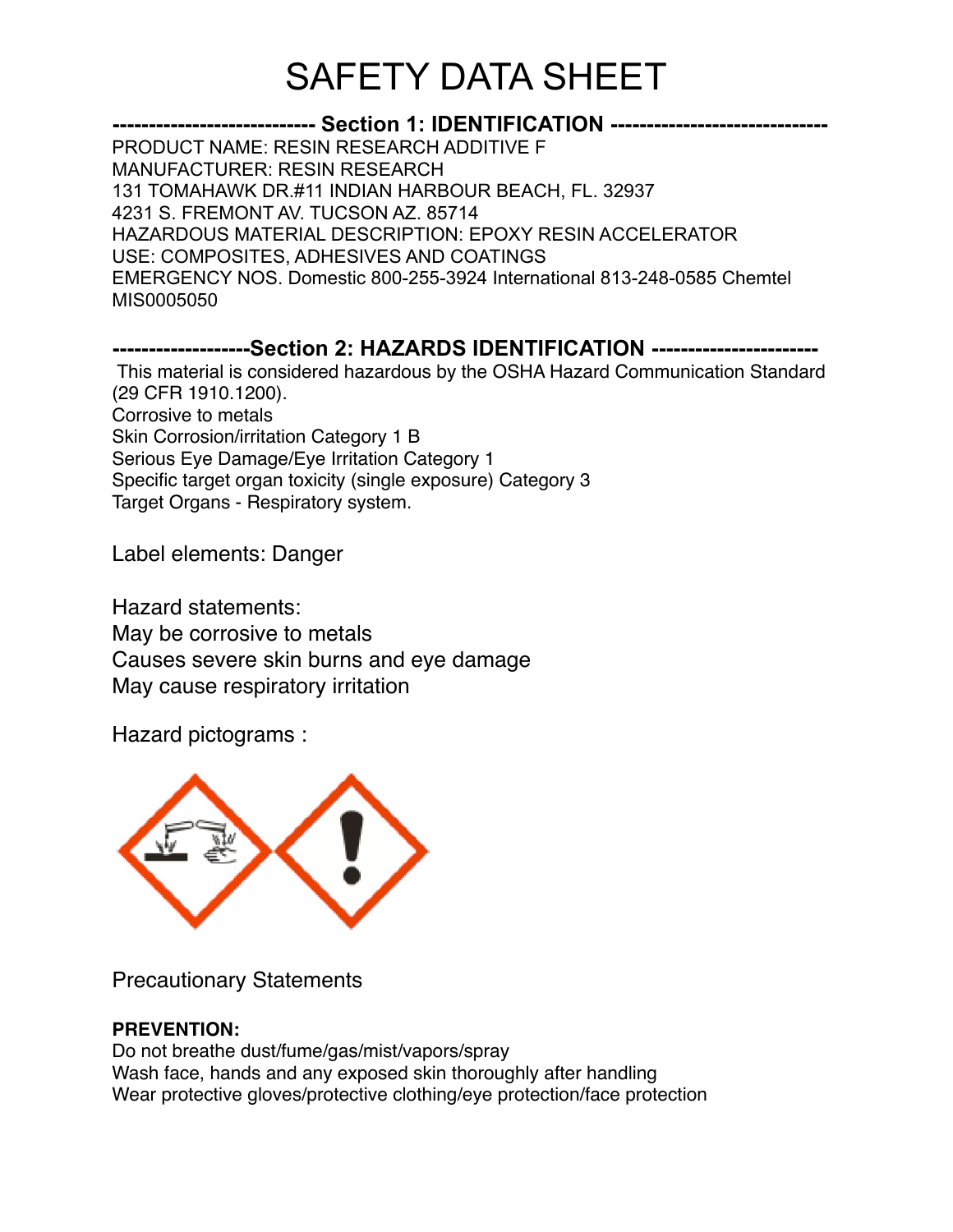## **---------------------------- Section 1: IDENTIFICATION ------------------------------** PRODUCT NAME: RESIN RESEARCH ADDITIVE F MANUFACTURER: RESIN RESEARCH 131 TOMAHAWK DR.#11 INDIAN HARBOUR BEACH, FL. 32937 4231 S. FREMONT AV. TUCSON AZ. 85714 HAZARDOUS MATERIAL DESCRIPTION: EPOXY RESIN ACCELERATOR USE: COMPOSITES, ADHESIVES AND COATINGS EMERGENCY NOS. Domestic 800-255-3924 International 813-248-0585 Chemtel MIS0005050 **-------------------Section 2: HAZARDS IDENTIFICATION -----------------------** This material is considered hazardous by the OSHA Hazard Communication Standard (29 CFR 1910.1200). Corrosive to metals Skin Corrosion/irritation Category 1 B

Serious Eye Damage/Eye Irritation Category 1 Specific target organ toxicity (single exposure) Category 3 Target Organs - Respiratory system.

Label elements: Danger

Hazard statements: May be corrosive to metals Causes severe skin burns and eye damage May cause respiratory irritation

Hazard pictograms :



Precautionary Statements

## **PREVENTION:**

Do not breathe dust/fume/gas/mist/vapors/spray Wash face, hands and any exposed skin thoroughly after handling Wear protective gloves/protective clothing/eye protection/face protection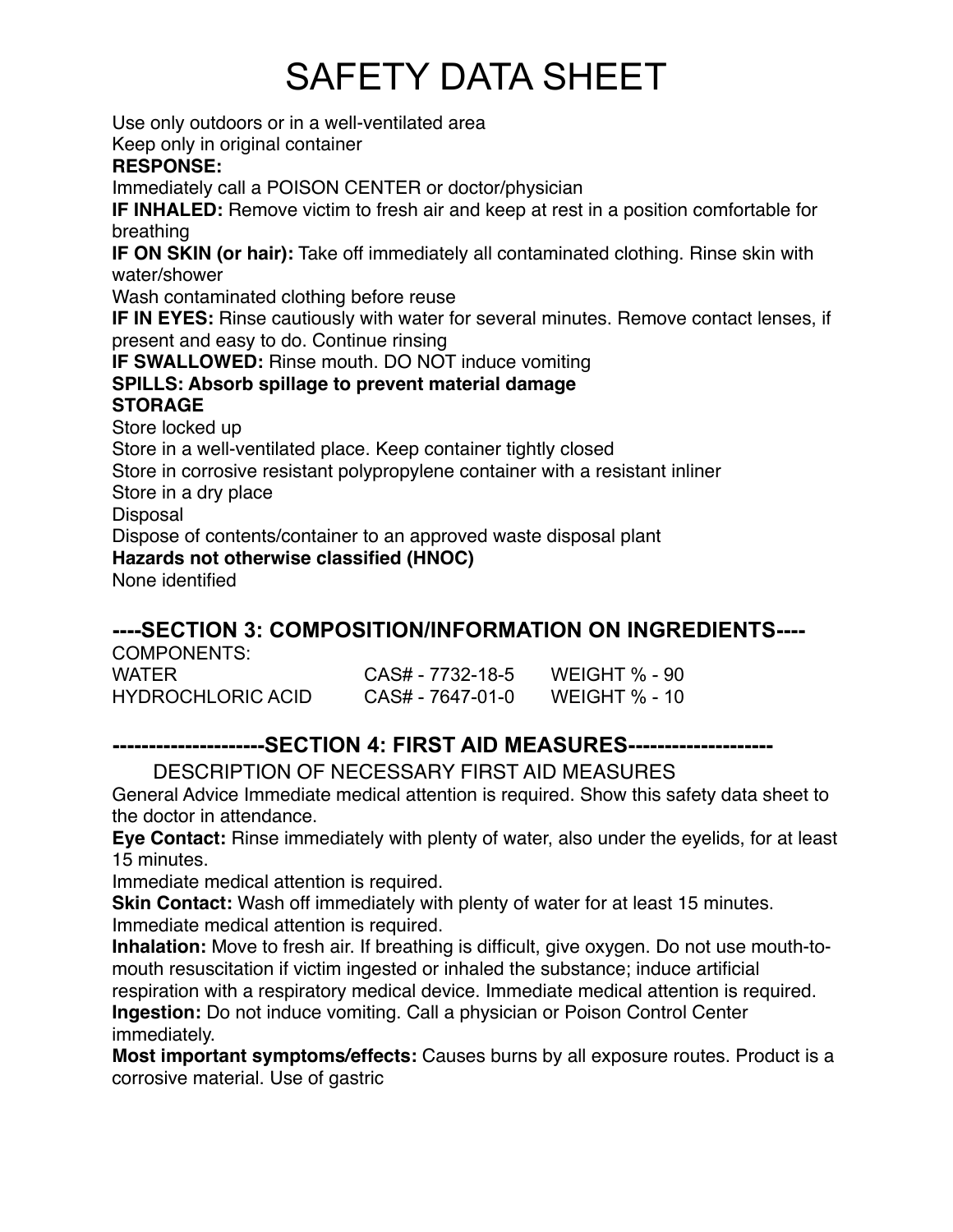Use only outdoors or in a well-ventilated area Keep only in original container **RESPONSE:** Immediately call a POISON CENTER or doctor/physician **IF INHALED:** Remove victim to fresh air and keep at rest in a position comfortable for breathing **IF ON SKIN (or hair):** Take off immediately all contaminated clothing. Rinse skin with water/shower Wash contaminated clothing before reuse **IF IN EYES:** Rinse cautiously with water for several minutes. Remove contact lenses, if present and easy to do. Continue rinsing **IF SWALLOWED:** Rinse mouth. DO NOT induce vomiting **SPILLS: Absorb spillage to prevent material damage STORAGE** Store locked up Store in a well-ventilated place. Keep container tightly closed Store in corrosive resistant polypropylene container with a resistant inliner Store in a dry place Disposal Dispose of contents/container to an approved waste disposal plant **Hazards not otherwise classified (HNOC)** None identified

**----SECTION 3: COMPOSITION/INFORMATION ON INGREDIENTS----**

| COMPONENTS:              |                  |               |
|--------------------------|------------------|---------------|
| WATER                    | CAS# - 7732-18-5 | WEIGHT % - 90 |
| <b>HYDROCHLORIC ACID</b> | CAS# - 7647-01-0 | WEIGHT % - 10 |

## **---------------------SECTION 4: FIRST AID MEASURES--------------------**

DESCRIPTION OF NECESSARY FIRST AID MEASURES

General Advice Immediate medical attention is required. Show this safety data sheet to the doctor in attendance.

**Eye Contact:** Rinse immediately with plenty of water, also under the eyelids, for at least 15 minutes.

Immediate medical attention is required.

**Skin Contact:** Wash off immediately with plenty of water for at least 15 minutes. Immediate medical attention is required.

**Inhalation:** Move to fresh air. If breathing is difficult, give oxygen. Do not use mouth-tomouth resuscitation if victim ingested or inhaled the substance; induce artificial respiration with a respiratory medical device. Immediate medical attention is required.

**Ingestion:** Do not induce vomiting. Call a physician or Poison Control Center immediately.

**Most important symptoms/effects:** Causes burns by all exposure routes. Product is a corrosive material. Use of gastric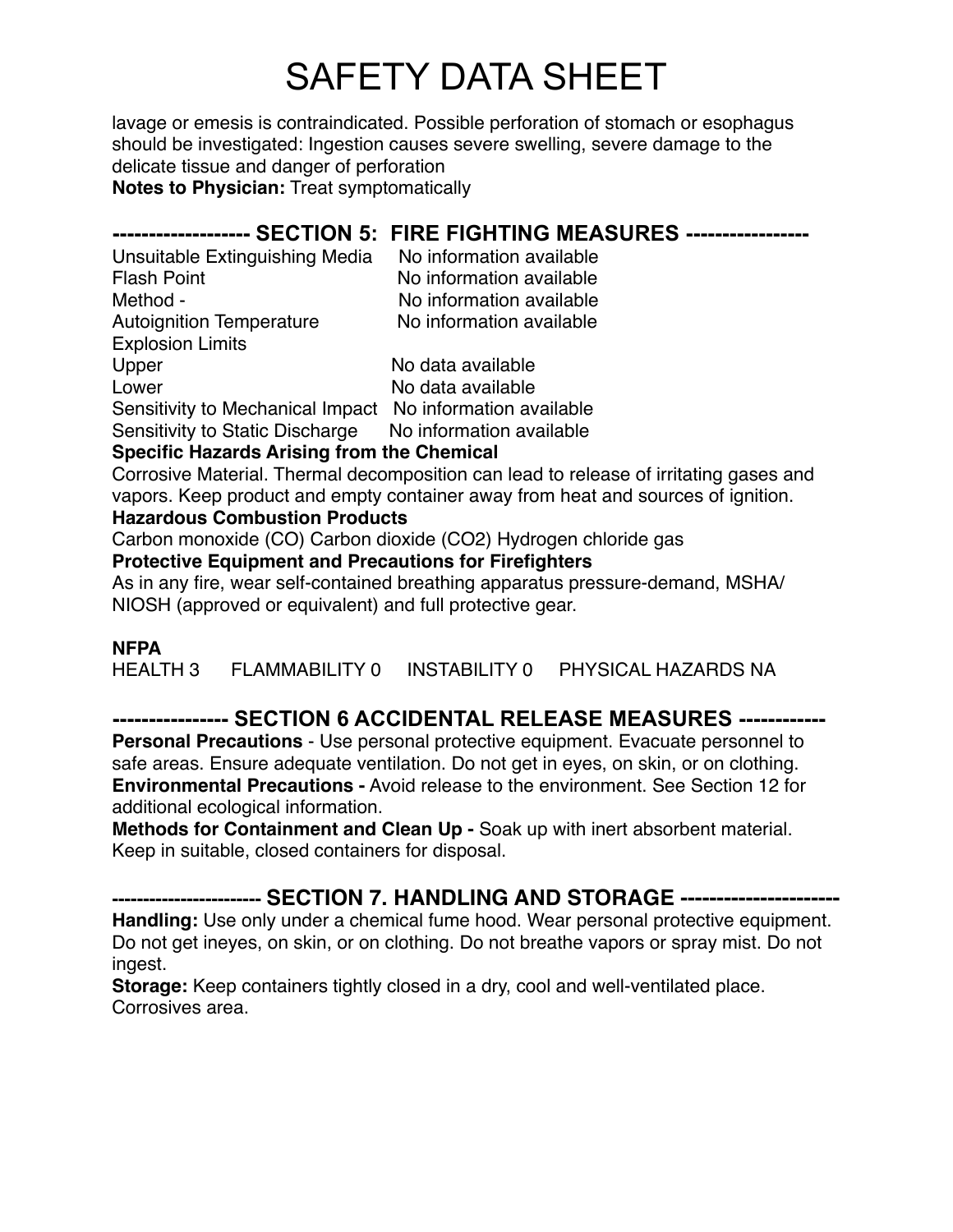lavage or emesis is contraindicated. Possible perforation of stomach or esophagus should be investigated: Ingestion causes severe swelling, severe damage to the delicate tissue and danger of perforation

**Notes to Physician:** Treat symptomatically

## **------------------- SECTION 5: FIRE FIGHTING MEASURES -----------------**

Unsuitable Extinguishing Media No information available Flash Point **No information available** Method - No information available Autoignition Temperature No information available Explosion Limits

Upper No data available Lower No data available Sensitivity to Mechanical Impact No information available

Sensitivity to Static Discharge No information available

### **Specific Hazards Arising from the Chemical**

Corrosive Material. Thermal decomposition can lead to release of irritating gases and vapors. Keep product and empty container away from heat and sources of ignition. **Hazardous Combustion Products**

Carbon monoxide (CO) Carbon dioxide (CO2) Hydrogen chloride gas

### **Protective Equipment and Precautions for Firefighters**

As in any fire, wear self-contained breathing apparatus pressure-demand, MSHA/ NIOSH (approved or equivalent) and full protective gear.

### **NFPA**

HEALTH 3 FLAMMABILITY 0 INSTABILITY 0 PHYSICAL HAZARDS NA

## **---------------- SECTION 6 ACCIDENTAL RELEASE MEASURES ------------**

**Personal Precautions** - Use personal protective equipment. Evacuate personnel to safe areas. Ensure adequate ventilation. Do not get in eyes, on skin, or on clothing. **Environmental Precautions -** Avoid release to the environment. See Section 12 for additional ecological information.

**Methods for Containment and Clean Up -** Soak up with inert absorbent material. Keep in suitable, closed containers for disposal.

## **------------------------ SECTION 7. HANDLING AND STORAGE ----------------------**

**Handling:** Use only under a chemical fume hood. Wear personal protective equipment. Do not get ineyes, on skin, or on clothing. Do not breathe vapors or spray mist. Do not ingest.

**Storage:** Keep containers tightly closed in a dry, cool and well-ventilated place. Corrosives area.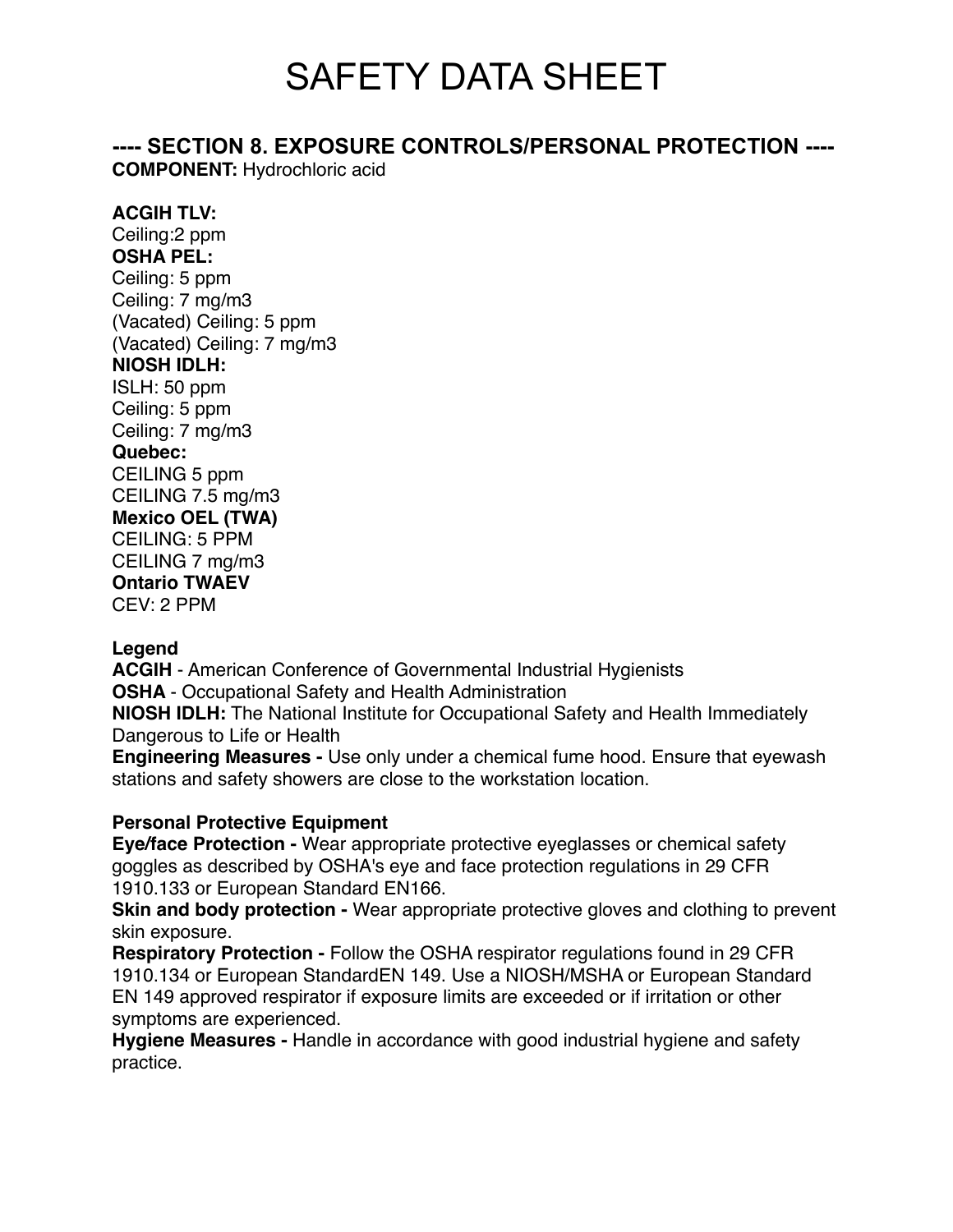**---- SECTION 8. EXPOSURE CONTROLS/PERSONAL PROTECTION ----**

**COMPONENT:** Hydrochloric acid

### **ACGIH TLV:**

Ceiling:2 ppm **OSHA PEL:** Ceiling: 5 ppm Ceiling: 7 mg/m3 (Vacated) Ceiling: 5 ppm (Vacated) Ceiling: 7 mg/m3 **NIOSH IDLH:** ISLH: 50 ppm Ceiling: 5 ppm Ceiling: 7 mg/m3 **Quebec:** CEILING 5 ppm CEILING 7.5 mg/m3 **Mexico OEL (TWA)** CEILING: 5 PPM CEILING 7 mg/m3 **Ontario TWAEV** CEV: 2 PPM

### **Legend**

**ACGIH** - American Conference of Governmental Industrial Hygienists **OSHA** - Occupational Safety and Health Administration **NIOSH IDLH:** The National Institute for Occupational Safety and Health Immediately Dangerous to Life or Health

**Engineering Measures -** Use only under a chemical fume hood. Ensure that eyewash stations and safety showers are close to the workstation location.

### **Personal Protective Equipment**

**Eye/face Protection -** Wear appropriate protective eyeglasses or chemical safety goggles as described by OSHA's eye and face protection regulations in 29 CFR 1910.133 or European Standard EN166.

**Skin and body protection -** Wear appropriate protective gloves and clothing to prevent skin exposure.

**Respiratory Protection -** Follow the OSHA respirator regulations found in 29 CFR 1910.134 or European StandardEN 149. Use a NIOSH/MSHA or European Standard EN 149 approved respirator if exposure limits are exceeded or if irritation or other symptoms are experienced.

**Hygiene Measures -** Handle in accordance with good industrial hygiene and safety practice.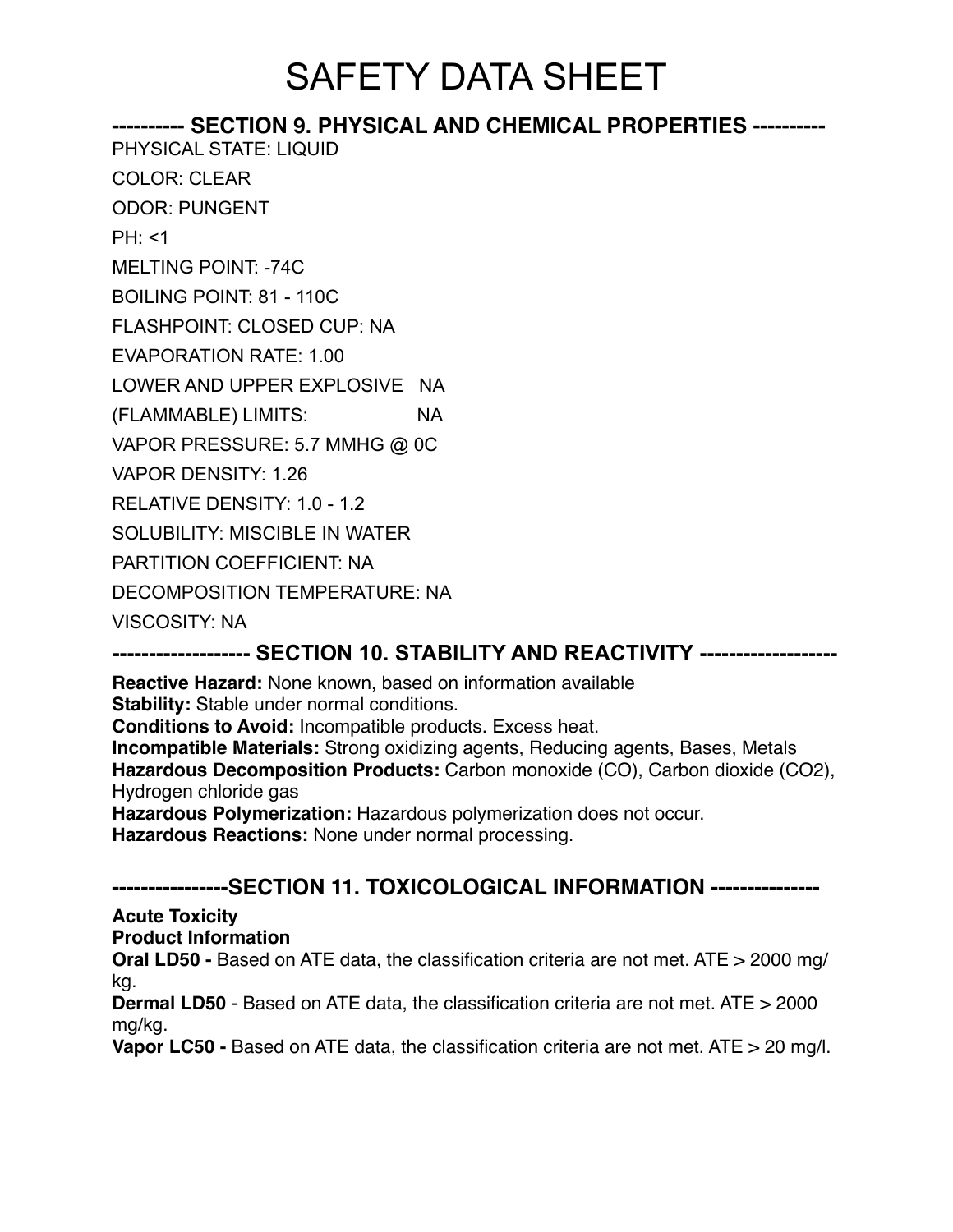#### **---------- SECTION 9. PHYSICAL AND CHEMICAL PROPERTIES ----------** PHYSICAL STATE: LIQUID

COLOR: CLEAR

ODOR: PUNGENT

 $PH: < 1$ 

MELTING POINT: -74C

BOILING POINT: 81 - 110C

FLASHPOINT: CLOSED CUP: NA

EVAPORATION RATE: 1.00

LOWER AND UPPER EXPLOSIVE NA

(FLAMMABLE) LIMITS: NA

VAPOR PRESSURE: 5.7 MMHG @ 0C

VAPOR DENSITY: 1.26

RELATIVE DENSITY: 1.0 - 1.2

SOLUBILITY: MISCIBLE IN WATER

PARTITION COEFFICIENT: NA

DECOMPOSITION TEMPERATURE: NA

VISCOSITY: NA

## **------------------- SECTION 10. STABILITY AND REACTIVITY -------------------**

**Reactive Hazard:** None known, based on information available **Stability:** Stable under normal conditions.

**Conditions to Avoid:** Incompatible products. Excess heat.

**Incompatible Materials:** Strong oxidizing agents, Reducing agents, Bases, Metals **Hazardous Decomposition Products:** Carbon monoxide (CO), Carbon dioxide (CO2), Hydrogen chloride gas

**Hazardous Polymerization:** Hazardous polymerization does not occur. **Hazardous Reactions:** None under normal processing.

## **----------------SECTION 11. TOXICOLOGICAL INFORMATION ---------------**

**Acute Toxicity**

**Product Information**

**Oral LD50 -** Based on ATE data, the classification criteria are not met. ATE > 2000 mg/ kg.

**Dermal LD50** - Based on ATE data, the classification criteria are not met. ATE > 2000 mg/kg.

**Vapor LC50 -** Based on ATE data, the classification criteria are not met. ATE > 20 mg/l.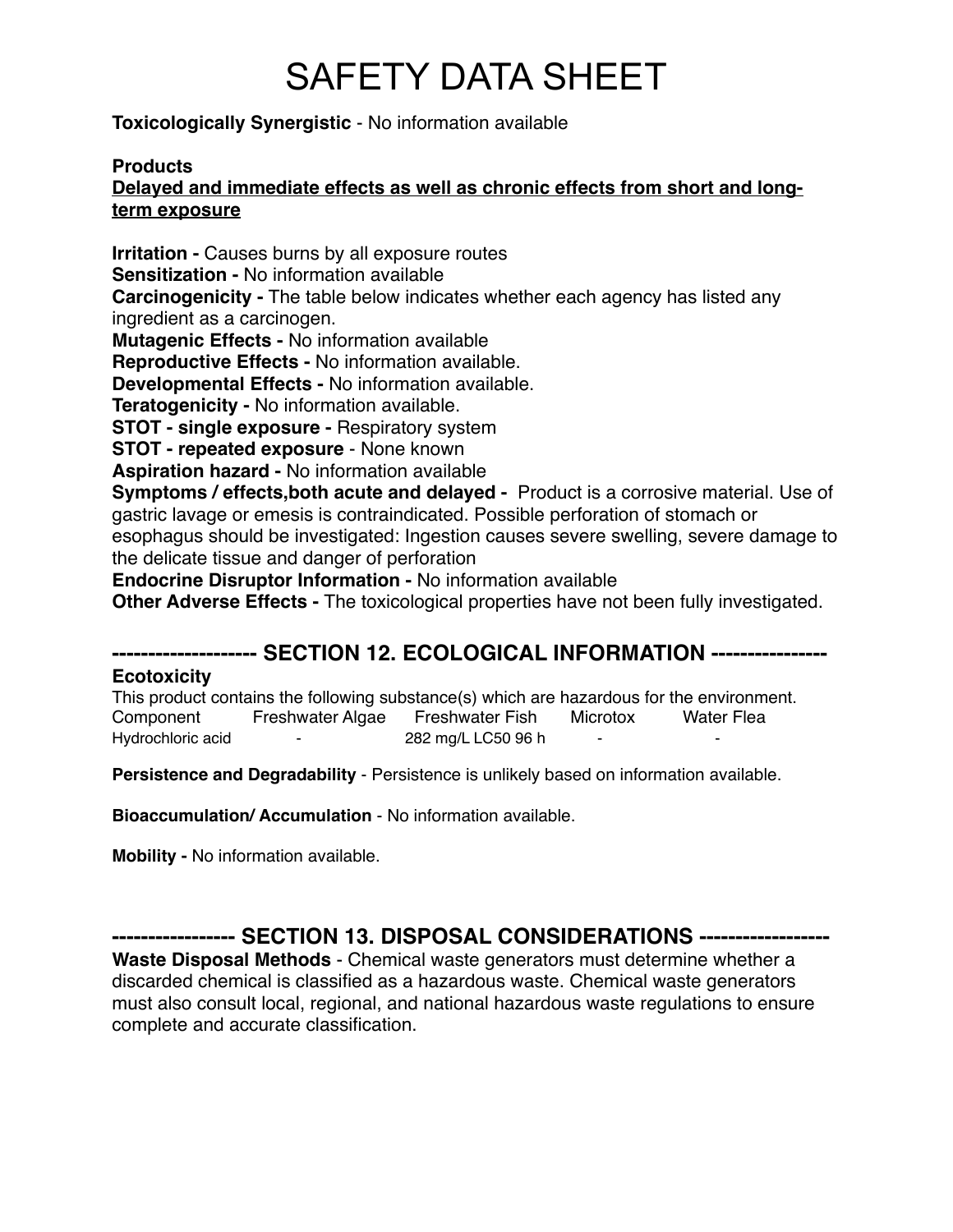**Toxicologically Synergistic** - No information available

### **Products**

### **Delayed and immediate effects as well as chronic effects from short and longterm exposure**

**Irritation -** Causes burns by all exposure routes **Sensitization -** No information available **Carcinogenicity -** The table below indicates whether each agency has listed any ingredient as a carcinogen. **Mutagenic Effects -** No information available

**Reproductive Effects -** No information available.

**Developmental Effects -** No information available.

**Teratogenicity -** No information available.

**STOT - single exposure -** Respiratory system

**STOT - repeated exposure** - None known

**Aspiration hazard -** No information available

**Symptoms / effects,both acute and delayed -** Product is a corrosive material. Use of gastric lavage or emesis is contraindicated. Possible perforation of stomach or esophagus should be investigated: Ingestion causes severe swelling, severe damage to the delicate tissue and danger of perforation

**Endocrine Disruptor Information -** No information available

**Other Adverse Effects -** The toxicological properties have not been fully investigated.

## **-------------------- SECTION 12. ECOLOGICAL INFORMATION ----------------**

### **Ecotoxicity**

This product contains the following substance(s) which are hazardous for the environment. Component Freshwater Algae Freshwater Fish Microtox Water Flea Hydrochloric acid <sup>-</sup> 282 mg/L LC50 96 h

**Persistence and Degradability** - Persistence is unlikely based on information available.

**Bioaccumulation/ Accumulation** - No information available.

**Mobility -** No information available.

**----------------- SECTION 13. DISPOSAL CONSIDERATIONS ------------------**

**Waste Disposal Methods** - Chemical waste generators must determine whether a discarded chemical is classified as a hazardous waste. Chemical waste generators must also consult local, regional, and national hazardous waste regulations to ensure complete and accurate classification.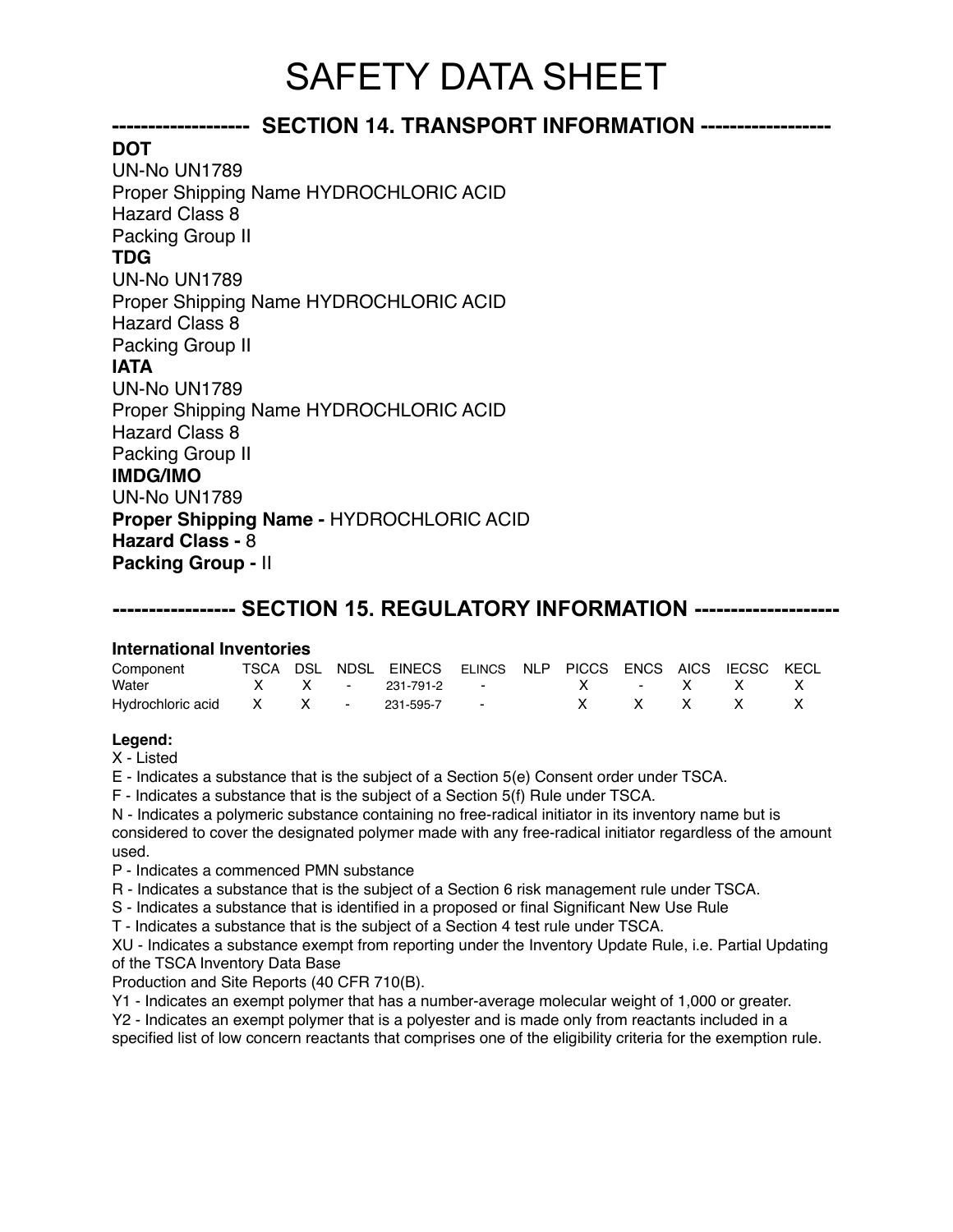## **------------------- SECTION 14. TRANSPORT INFORMATION ------------------**

**DOT** UN-No UN1789 Proper Shipping Name HYDROCHLORIC ACID Hazard Class 8 Packing Group II **TDG** UN-No UN1789 Proper Shipping Name HYDROCHLORIC ACID Hazard Class 8 Packing Group II **IATA** UN-No UN1789 Proper Shipping Name HYDROCHLORIC ACID Hazard Class 8 Packing Group II **IMDG/IMO** UN-No UN1789 **Proper Shipping Name -** HYDROCHLORIC ACID **Hazard Class -** 8 **Packing Group -** II

## **----------------- SECTION 15. REGULATORY INFORMATION --------------------**

#### **International Inventories**

| Component                           |  | TSCA DSL NDSL EINECS ELINCS NLP PICCS ENCS AICS IECSC KECL |  |  |                     |  |
|-------------------------------------|--|------------------------------------------------------------|--|--|---------------------|--|
|                                     |  |                                                            |  |  |                     |  |
| Hydrochloric acid X X - 231-595-7 - |  |                                                            |  |  | $X$ $X$ $X$ $X$ $X$ |  |

#### **Legend:**

X - Listed

E - Indicates a substance that is the subject of a Section 5(e) Consent order under TSCA.

F - Indicates a substance that is the subject of a Section 5(f) Rule under TSCA.

N - Indicates a polymeric substance containing no free-radical initiator in its inventory name but is considered to cover the designated polymer made with any free-radical initiator regardless of the amount used.

P - Indicates a commenced PMN substance

R - Indicates a substance that is the subject of a Section 6 risk management rule under TSCA.

S - Indicates a substance that is identified in a proposed or final Significant New Use Rule

T - Indicates a substance that is the subject of a Section 4 test rule under TSCA.

XU - Indicates a substance exempt from reporting under the Inventory Update Rule, i.e. Partial Updating of the TSCA Inventory Data Base

Production and Site Reports (40 CFR 710(B).

Y1 - Indicates an exempt polymer that has a number-average molecular weight of 1,000 or greater.

Y2 - Indicates an exempt polymer that is a polyester and is made only from reactants included in a specified list of low concern reactants that comprises one of the eligibility criteria for the exemption rule.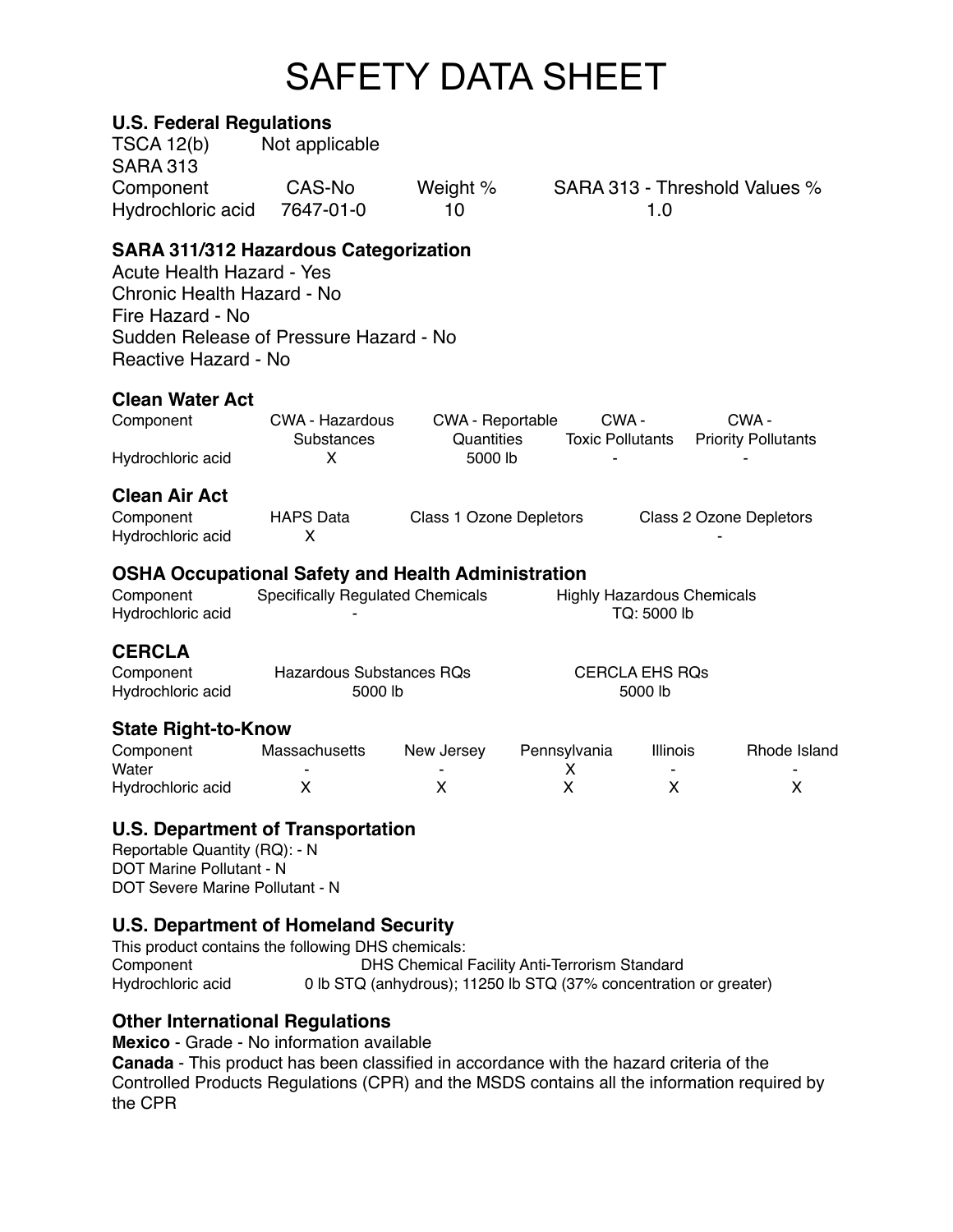### **U.S. Federal Regulations**

| <b>TSCA 12(b)</b>                                                                                                                                                                                    | Not applicable                             |                         |                                  |                                                  |                               |
|------------------------------------------------------------------------------------------------------------------------------------------------------------------------------------------------------|--------------------------------------------|-------------------------|----------------------------------|--------------------------------------------------|-------------------------------|
| <b>SARA 313</b><br>Component<br>Hydrochloric acid                                                                                                                                                    | CAS-No<br>7647-01-0                        | Weight %<br>10          |                                  | 1.0                                              | SARA 313 - Threshold Values % |
| <b>SARA 311/312 Hazardous Categorization</b><br><b>Acute Health Hazard - Yes</b><br>Chronic Health Hazard - No<br>Fire Hazard - No<br>Sudden Release of Pressure Hazard - No<br>Reactive Hazard - No |                                            |                         |                                  |                                                  |                               |
| <b>Clean Water Act</b>                                                                                                                                                                               |                                            |                         |                                  |                                                  |                               |
| Component                                                                                                                                                                                            | CWA - Hazardous                            | <b>CWA - Reportable</b> | CWA-                             |                                                  | CWA-                          |
| Hydrochloric acid                                                                                                                                                                                    | Substances<br>X                            | Quantities<br>5000 lb   | <b>Toxic Pollutants</b>          |                                                  | <b>Priority Pollutants</b>    |
| <b>Clean Air Act</b><br>Component<br>Hydrochloric acid                                                                                                                                               | <b>HAPS Data</b><br>X                      | Class 1 Ozone Depletors |                                  |                                                  | Class 2 Ozone Depletors       |
| <b>OSHA Occupational Safety and Health Administration</b><br>Component<br>Hydrochloric acid                                                                                                          | <b>Specifically Regulated Chemicals</b>    |                         |                                  | <b>Highly Hazardous Chemicals</b><br>TQ: 5000 lb |                               |
| <b>CERCLA</b>                                                                                                                                                                                        |                                            |                         |                                  |                                                  |                               |
| Component<br>Hydrochloric acid                                                                                                                                                                       | <b>Hazardous Substances RQs</b><br>5000 lb |                         | <b>CERCLA EHS RQs</b><br>5000 lb |                                                  |                               |
| <b>State Right-to-Know</b>                                                                                                                                                                           |                                            |                         |                                  |                                                  |                               |
| Component<br>Water                                                                                                                                                                                   | Massachusetts                              | New Jersey              | Pennsylvania<br>X                | <b>Illinois</b>                                  | Rhode Island                  |
| Hydrochloric acid                                                                                                                                                                                    | х                                          | X                       | X                                | X                                                | X                             |
| <b>U.S. Department of Transportation</b><br>Reportable Quantity (RQ): - N<br>$\overline{M}$ Mexica $\overline{D}$ ellingent N                                                                        |                                            |                         |                                  |                                                  |                               |

DOT Marine Pollutant - N DOT Severe Marine Pollutant - N

### **U.S. Department of Homeland Security**

This product contains the following DHS chemicals: Component DHS Chemical Facility Anti-Terrorism Standard<br>Hydrochloric acid 0 lb STQ (anhydrous); 11250 lb STQ (37% concentration 0 lb STQ (anhydrous); 11250 lb STQ (37% concentration or greater)

## **Other International Regulations**

**Mexico** - Grade - No information available

**Canada** - This product has been classified in accordance with the hazard criteria of the Controlled Products Regulations (CPR) and the MSDS contains all the information required by the CPR